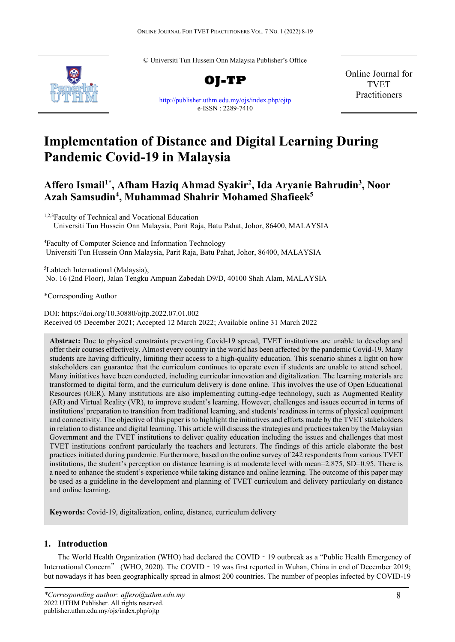© Universiti Tun Hussein Onn Malaysia Publisher's Office



**OJ-TP** <http://publisher.uthm.edu.my/ojs/index.php/ojtp> e-ISSN : 2289-7410

Online Journal for TVET Practitioners

# **Implementation of Distance and Digital Learning During Pandemic Covid-19 in Malaysia**

# **Affero Ismail1\* , Afham Haziq Ahmad Syakir2 , Ida Aryanie Bahrudin3 , Noor Azah Samsudin4 , Muhammad Shahrir Mohamed Shafieek5**

<sup>1,2,3</sup>Faculty of Technical and Vocational Education Universiti Tun Hussein Onn Malaysia, Parit Raja, Batu Pahat, Johor, 86400, MALAYSIA

4 Faculty of Computer Science and Information Technology Universiti Tun Hussein Onn Malaysia, Parit Raja, Batu Pahat, Johor, 86400, MALAYSIA

5 Labtech International (Malaysia), No. 16 (2nd Floor), Jalan Tengku Ampuan Zabedah D9/D, 40100 Shah Alam, MALAYSIA

\*Corresponding Author

DOI: https://doi.org/10.30880/ojtp.2022.07.01.002 Received 05 December 2021; Accepted 12 March 2022; Available online 31 March 2022

**Abstract:** Due to physical constraints preventing Covid-19 spread, TVET institutions are unable to develop and offer their courses effectively. Almost every country in the world has been affected by the pandemic Covid-19. Many students are having difficulty, limiting their access to a high-quality education. This scenario shines a light on how stakeholders can guarantee that the curriculum continues to operate even if students are unable to attend school. Many initiatives have been conducted, including curricular innovation and digitalization. The learning materials are transformed to digital form, and the curriculum delivery is done online. This involves the use of Open Educational Resources (OER). Many institutions are also implementing cutting-edge technology, such as Augmented Reality (AR) and Virtual Reality (VR), to improve student's learning. However, challenges and issues occurred in terms of institutions' preparation to transition from traditional learning, and students' readiness in terms of physical equipment and connectivity. The objective of this paper is to highlight the initiatives and efforts made by the TVET stakeholders in relation to distance and digital learning. This article will discuss the strategies and practices taken by the Malaysian Government and the TVET institutions to deliver quality education including the issues and challenges that most TVET institutions confront particularly the teachers and lecturers. The findings of this article elaborate the best practices initiated during pandemic. Furthermore, based on the online survey of 242 respondents from various TVET institutions, the student's perception on distance learning is at moderate level with mean=2.875, SD=0.95. There is a need to enhance the student's experience while taking distance and online learning. The outcome of this paper may be used as a guideline in the development and planning of TVET curriculum and delivery particularly on distance and online learning.

**Keywords:** Covid-19, digitalization, online, distance, curriculum delivery

# **1. Introduction**

The World Health Organization (WHO) had declared the COVID‐19 outbreak as a "Public Health Emergency of International Concern" (WHO, 2020). The COVID - 19 was first reported in Wuhan, China in end of December 2019; but nowadays it has been geographically spread in almost 200 countries. The number of peoples infected by COVID-19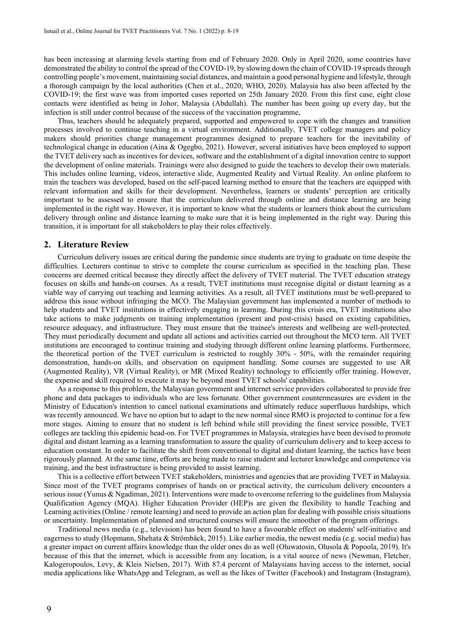has been increasing at alarming levels starting from end of February 2020. Only in April 2020, some countries have demonstrated the ability to control the spread of the COVID-19, by slowing down the chain of COVID-19 spreads through controlling people's movement, maintaining social distances, and maintain a good personal hygiene and lifestyle, through a thorough campaign by the local authorities (Chen et al., 2020; WHO, 2020). Malaysia has also been affected by the COVID-19; the first wave was from imported cases reported on 25th January 2020. From this first case, eight close contacts were identified as being in Johor, Malaysia (Abdullah). The number has been going up every day, but the infection is still under control because of the success of the vaccination programme,

Thus, teachers should be adequately prepared, supported and empowered to cope with the changes and transition processes involved to continue teaching in a virtual environment. Additionally, TVET college managers and policy makers should priorities change management programmes designed to prepare teachers for the inevitability of technological change in education (Aina & Ogegbo, 2021). However, several initiatives have been employed to support the TVET delivery such as incentives for devices, software and the establishment of a digital innovation centre to support the development of online materials. Trainings were also designed to guide the teachers to develop their own materials. This includes online learning, videos, interactive slide, Augmented Reality and Virtual Reality. An online platform to train the teachers was developed, based on the self-paced learning method to ensure that the teachers are equipped with relevant information and skills for their development. Nevertheless, learners or students' perception are critically important to be assessed to ensure that the curriculum delivered through online and distance learning are being implemented in the right way. However, it is important to know what the students or learners think about the curriculum delivery through online and distance learning to make sure that it is being implemented in the right way. During this transition, it is important for all stakeholders to play their roles effectively.

#### **2. Literature Review**

Curriculum delivery issues are critical during the pandemic since students are trying to graduate on time despite the difficulties. Lecturers continue to strive to complete the course curriculum as specified in the teaching plan. These concerns are deemed critical because they directly affect the delivery of TVET material. The TVET education strategy focuses on skills and hands-on courses. As a result, TVET institutions must recognise digital or distant learning as a viable way of carrying out teaching and learning activities. As a result, all TVET institutions must be well-prepared to address this issue without infringing the MCO. The Malaysian government has implemented a number of methods to help students and TVET institutions in effectively engaging in learning. During this crisis era, TVET institutions also take actions to make judgments on training implementation (present and post-crisis) based on existing capabilities, resource adequacy, and infrastructure. They must ensure that the trainee's interests and wellbeing are well-protected. They must periodically document and update all actions and activities carried out throughout the MCO term. All TVET institutions are encouraged to continue training and studying through different online learning platforms. Furthermore, the theoretical portion of the TVET curriculum is restricted to roughly 30% - 50%, with the remainder requiring demonstration, hands-on skills, and observation on equipment handling. Some courses are suggested to use AR (Augmented Reality), VR (Virtual Reality), or MR (Mixed Reality) technology to efficiently offer training. However, the expense and skill required to execute it may be beyond most TVET schools' capabilities.

As a response to this problem, the Malaysian government and internet service providers collaborated to provide free phone and data packages to individuals who are less fortunate. Other government countermeasures are evident in the Ministry of Education's intention to cancel national examinations and ultimately reduce superfluous hardships, which was recently announced. We have no option but to adapt to the new normal since RMO is projected to continue for a few more stages. Aiming to ensure that no student is left behind while still providing the finest service possible, TVET colleges are tackling this epidemic head-on. For TVET programmes in Malaysia, strategies have been devised to promote digital and distant learning as a learning transformation to assure the quality of curriculum delivery and to keep access to education constant. In order to facilitate the shift from conventional to digital and distant learning, the tactics have been rigorously planned. At the same time, efforts are being made to raise student and lecturer knowledge and competence via training, and the best infrastructure is being provided to assist learning.

This is a collective effort between TVET stakeholders, ministries and agencies that are providing TVET in Malaysia. Since most of the TVET programs comprises of hands on or practical activity, the curriculum delivery encounters a serious issue (Yunus & Ngadiman, 2021). Interventions were made to overcome referring to the guidelines from Malaysia Qualification Agency (MQA). Higher Education Provider (HEP)s are given the flexibility to handle Teaching and Learning activities (Online / remote learning) and need to provide an action plan for dealing with possible crisis situations or uncertainty. Implementation of planned and structured courses will ensure the smoother of the program offerings.

Traditional news media (e.g., television) has been found to have a favourable effect on students' self-initiative and eagerness to study (Hopmann, Shehata & Strömbäck, 2015). Like earlier media, the newest media (e.g. social media) has a greater impact on current affairs knowledge than the older ones do as well (Oluwatosin, Olusola & Popoola, 2019). It's because of this that the internet, which is accessible from any location, is a vital source of news (Newman, Fletcher, Kalogeropoulos, Levy, & Kleis Nielsen, 2017). With 87.4 percent of Malaysians having access to the internet, social media applications like WhatsApp and Telegram, as well as the likes of Twitter (Facebook) and Instagram (Instagram),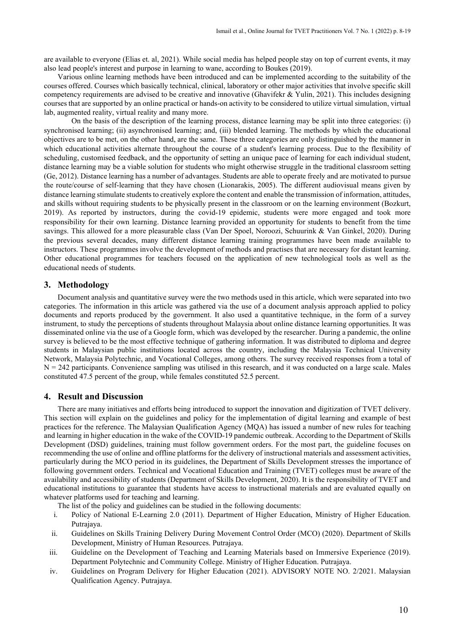are available to everyone (Elias et. al, 2021). While social media has helped people stay on top of current events, it may also lead people's interest and purpose in learning to wane, according to Boukes (2019).

Various online learning methods have been introduced and can be implemented according to the suitability of the courses offered. Courses which basically technical, clinical, laboratory or other major activities that involve specific skill competency requirements are advised to be creative and innovative (Ghavifekr & Yulin, 2021). This includes designing courses that are supported by an online practical or hands-on activity to be considered to utilize virtual simulation, virtual lab, augmented reality, virtual reality and many more.

On the basis of the description of the learning process, distance learning may be split into three categories: (i) synchronised learning; (ii) asynchronised learning; and, (iii) blended learning. The methods by which the educational objectives are to be met, on the other hand, are the same. These three categories are only distinguished by the manner in which educational activities alternate throughout the course of a student's learning process. Due to the flexibility of scheduling, customised feedback, and the opportunity of setting an unique pace of learning for each individual student, distance learning may be a viable solution for students who might otherwise struggle in the traditional classroom setting (Ge, 2012). Distance learning has a number of advantages. Students are able to operate freely and are motivated to pursue the route/course of self-learning that they have chosen (Lionarakis, 2005). The different audiovisual means given by distance learning stimulate students to creatively explore the content and enable the transmission of information, attitudes, and skills without requiring students to be physically present in the classroom or on the learning environment (Bozkurt, 2019). As reported by instructors, during the covid-19 epidemic, students were more engaged and took more responsibility for their own learning. Distance learning provided an opportunity for students to benefit from the time savings. This allowed for a more pleasurable class (Van Der Spoel, Noroozi, Schuurink & Van Ginkel, 2020). During the previous several decades, many different distance learning training programmes have been made available to instructors. These programmes involve the development of methods and practises that are necessary for distant learning. Other educational programmes for teachers focused on the application of new technological tools as well as the educational needs of students.

# **3. Methodology**

Document analysis and quantitative survey were the two methods used in this article, which were separated into two categories. The information in this article was gathered via the use of a document analysis approach applied to policy documents and reports produced by the government. It also used a quantitative technique, in the form of a survey instrument, to study the perceptions of students throughout Malaysia about online distance learning opportunities. It was disseminated online via the use of a Google form, which was developed by the researcher. During a pandemic, the online survey is believed to be the most effective technique of gathering information. It was distributed to diploma and degree students in Malaysian public institutions located across the country, including the Malaysia Technical University Network, Malaysia Polytechnic, and Vocational Colleges, among others. The survey received responses from a total of  $N = 242$  participants. Convenience sampling was utilised in this research, and it was conducted on a large scale. Males constituted 47.5 percent of the group, while females constituted 52.5 percent.

# **4. Result and Discussion**

There are many initiatives and efforts being introduced to support the innovation and digitization of TVET delivery. This section will explain on the guidelines and policy for the implementation of digital learning and example of best practices for the reference. The Malaysian Qualification Agency (MQA) has issued a number of new rules for teaching and learning in higher education in the wake of the COVID-19 pandemic outbreak. According to the Department of Skills Development (DSD) guidelines, training must follow government orders. For the most part, the guideline focuses on recommending the use of online and offline platforms for the delivery of instructional materials and assessment activities, particularly during the MCO period in its guidelines, the Department of Skills Development stresses the importance of following government orders. Technical and Vocational Education and Training (TVET) colleges must be aware of the availability and accessibility of students (Department of Skills Development, 2020). It is the responsibility of TVET and educational institutions to guarantee that students have access to instructional materials and are evaluated equally on whatever platforms used for teaching and learning.

The list of the policy and guidelines can be studied in the following documents:

- i. Policy of National E-Learning 2.0 (2011). Department of Higher Education, Ministry of Higher Education. Putrajaya.
- ii. Guidelines on Skills Training Delivery During Movement Control Order (MCO) (2020). Department of Skills Development, Ministry of Human Resources. Putrajaya.
- iii. Guideline on the Development of Teaching and Learning Materials based on Immersive Experience (2019). Department Polytechnic and Community College. Ministry of Higher Education. Putrajaya.
- iv. Guidelines on Program Delivery for Higher Education (2021). ADVISORY NOTE NO. 2/2021. Malaysian Qualification Agency. Putrajaya.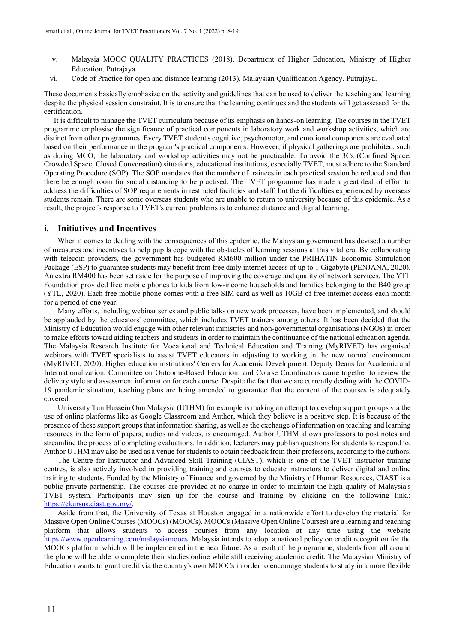- v. Malaysia MOOC QUALITY PRACTICES (2018). Department of Higher Education, Ministry of Higher Education. Putrajaya.
- vi. Code of Practice for open and distance learning (2013). Malaysian Qualification Agency. Putrajaya.

These documents basically emphasize on the activity and guidelines that can be used to deliver the teaching and learning despite the physical session constraint. It is to ensure that the learning continues and the students will get assessed for the certification.

It is difficult to manage the TVET curriculum because of its emphasis on hands-on learning. The courses in the TVET programme emphasise the significance of practical components in laboratory work and workshop activities, which are distinct from other programmes. Every TVET student's cognitive, psychomotor, and emotional components are evaluated based on their performance in the program's practical components. However, if physical gatherings are prohibited, such as during MCO, the laboratory and workshop activities may not be practicable. To avoid the 3Cs (Confined Space, Crowded Space, Closed Conversation) situations, educational institutions, especially TVET, must adhere to the Standard Operating Procedure (SOP). The SOP mandates that the number of trainees in each practical session be reduced and that there be enough room for social distancing to be practised. The TVET programme has made a great deal of effort to address the difficulties of SOP requirements in restricted facilities and staff, but the difficulties experienced by overseas students remain. There are some overseas students who are unable to return to university because of this epidemic. As a result, the project's response to TVET's current problems is to enhance distance and digital learning.

#### **i. Initiatives and Incentives**

When it comes to dealing with the consequences of this epidemic, the Malaysian government has devised a number of measures and incentives to help pupils cope with the obstacles of learning sessions at this vital era. By collaborating with telecom providers, the government has budgeted RM600 million under the PRIHATIN Economic Stimulation Package (ESP) to guarantee students may benefit from free daily internet access of up to 1 Gigabyte (PENJANA, 2020). An extra RM400 has been set aside for the purpose of improving the coverage and quality of network services. The YTL Foundation provided free mobile phones to kids from low-income households and families belonging to the B40 group (YTL, 2020). Each free mobile phone comes with a free SIM card as well as 10GB of free internet access each month for a period of one year.

Many efforts, including webinar series and public talks on new work processes, have been implemented, and should be applauded by the educators' committee, which includes TVET trainers among others. It has been decided that the Ministry of Education would engage with other relevant ministries and non-governmental organisations (NGOs) in order to make efforts toward aiding teachers and students in order to maintain the continuance of the national education agenda. The Malaysia Research Institute for Vocational and Technical Education and Training (MyRIVET) has organised webinars with TVET specialists to assist TVET educators in adjusting to working in the new normal environment (MyRIVET, 2020). Higher education institutions' Centers for Academic Development, Deputy Deans for Academic and Internationalization, Committee on Outcome-Based Education, and Course Coordinators came together to review the delivery style and assessment information for each course. Despite the fact that we are currently dealing with the COVID-19 pandemic situation, teaching plans are being amended to guarantee that the content of the courses is adequately covered.

University Tun Hussein Onn Malaysia (UTHM) for example is making an attempt to develop support groups via the use of online platforms like as Google Classroom and Author, which they believe is a positive step. It is because of the presence of these support groups that information sharing, as well as the exchange of information on teaching and learning resources in the form of papers, audios and videos, is encouraged. Author UTHM allows professors to post notes and streamline the process of completing evaluations. In addition, lecturers may publish questions for students to respond to. Author UTHM may also be used as a venue for students to obtain feedback from their professors, according to the authors.

The Centre for Instructor and Advanced Skill Training (CIAST), which is one of the TVET instructor training centres, is also actively involved in providing training and courses to educate instructors to deliver digital and online training to students. Funded by the Ministry of Finance and governed by the Ministry of Human Resources, CIAST is a public-private partnership. The courses are provided at no charge in order to maintain the high quality of Malaysia's TVET system. Participants may sign up for the course and training by clicking on the following link.: [https://ekursus.ciast.gov.my/.](https://ekursus.ciast.gov.my/) 

Aside from that, the University of Texas at Houston engaged in a nationwide effort to develop the material for Massive Open Online Courses (MOOCs) (MOOCs). MOOCs (Massive Open Online Courses) are a learning and teaching platform that allows students to access courses from any location at any time using the website [https://www.openlearning.com/malaysiamoocs.](https://www.openlearning.com/malaysiamoocs) Malaysia intends to adopt a national policy on credit recognition for the MOOCs platform, which will be implemented in the near future. As a result of the programme, students from all around the globe will be able to complete their studies online while still receiving academic credit. The Malaysian Ministry of Education wants to grant credit via the country's own MOOCs in order to encourage students to study in a more flexible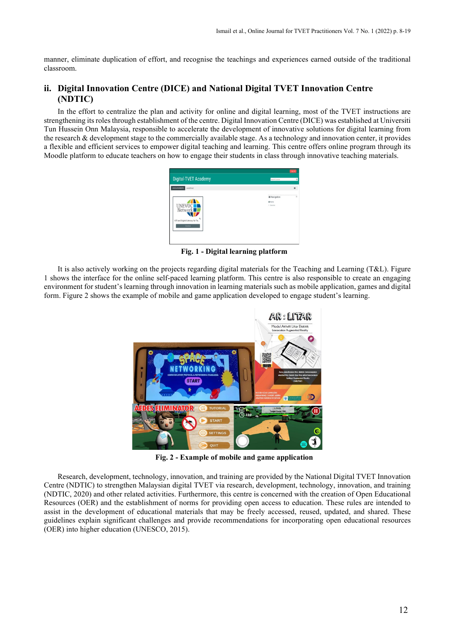manner, eliminate duplication of effort, and recognise the teachings and experiences earned outside of the traditional classroom.

# **ii. Digital Innovation Centre (DICE) and National Digital TVET Innovation Centre (NDTIC)**

In the effort to centralize the plan and activity for online and digital learning, most of the TVET instructions are strengthening its roles through establishment of the centre. Digital Innovation Centre (DICE) was established at Universiti Tun Hussein Onn Malaysia, responsible to accelerate the development of innovative solutions for digital learning from the research & development stage to the commercially available stage. As a technology and innovation center, it provides a flexible and efficient services to empower digital teaching and learning. This centre offers online program through its Moodle platform to educate teachers on how to engage their students in class through innovative teaching materials.



**Fig. 1 - Digital learning platform**

It is also actively working on the projects regarding digital materials for the Teaching and Learning (T&L). Figure 1 shows the interface for the online self-paced learning platform. This centre is also responsible to create an engaging environment for student's learning through innovation in learning materials such as mobile application, games and digital form. Figure 2 shows the example of mobile and game application developed to engage student's learning.



**Fig. 2 - Example of mobile and game application**

Research, development, technology, innovation, and training are provided by the National Digital TVET Innovation Centre (NDTIC) to strengthen Malaysian digital TVET via research, development, technology, innovation, and training (NDTIC, 2020) and other related activities. Furthermore, this centre is concerned with the creation of Open Educational Resources (OER) and the establishment of norms for providing open access to education. These rules are intended to assist in the development of educational materials that may be freely accessed, reused, updated, and shared. These guidelines explain significant challenges and provide recommendations for incorporating open educational resources (OER) into higher education (UNESCO, 2015).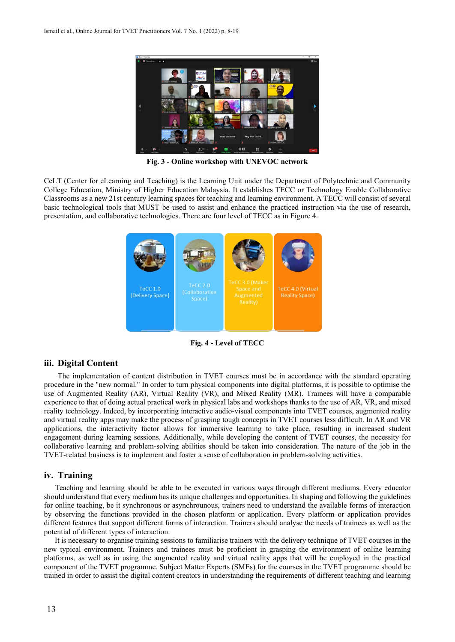

**Fig. 3 - Online workshop with UNEVOC network**

CeLT (Center for eLearning and Teaching) is the Learning Unit under the Department of Polytechnic and Community College Education, Ministry of Higher Education Malaysia. It establishes TECC or Technology Enable Collaborative Classrooms as a new 21st century learning spaces for teaching and learning environment. A TECC will consist of several basic technological tools that MUST be used to assist and enhance the practiced instruction via the use of research, presentation, and collaborative technologies. There are four level of TECC as in Figure 4.



**Fig. 4 - Level of TECC**

#### **iii. Digital Content**

The implementation of content distribution in TVET courses must be in accordance with the standard operating procedure in the "new normal." In order to turn physical components into digital platforms, it is possible to optimise the use of Augmented Reality (AR), Virtual Reality (VR), and Mixed Reality (MR). Trainees will have a comparable experience to that of doing actual practical work in physical labs and workshops thanks to the use of AR, VR, and mixed reality technology. Indeed, by incorporating interactive audio-visual components into TVET courses, augmented reality and virtual reality apps may make the process of grasping tough concepts in TVET courses less difficult. In AR and VR applications, the interactivity factor allows for immersive learning to take place, resulting in increased student engagement during learning sessions. Additionally, while developing the content of TVET courses, the necessity for collaborative learning and problem-solving abilities should be taken into consideration. The nature of the job in the TVET-related business is to implement and foster a sense of collaboration in problem-solving activities.

## **iv. Training**

Teaching and learning should be able to be executed in various ways through different mediums. Every educator should understand that every medium has its unique challenges and opportunities. In shaping and following the guidelines for online teaching, be it synchronous or asynchrounous, trainers need to understand the available forms of interaction by observing the functions provided in the chosen platform or application. Every platform or application provides different features that support different forms of interaction. Trainers should analyse the needs of trainees as well as the potential of different types of interaction.

It is necessary to organise training sessions to familiarise trainers with the delivery technique of TVET courses in the new typical environment. Trainers and trainees must be proficient in grasping the environment of online learning platforms, as well as in using the augmented reality and virtual reality apps that will be employed in the practical component of the TVET programme. Subject Matter Experts (SMEs) for the courses in the TVET programme should be trained in order to assist the digital content creators in understanding the requirements of different teaching and learning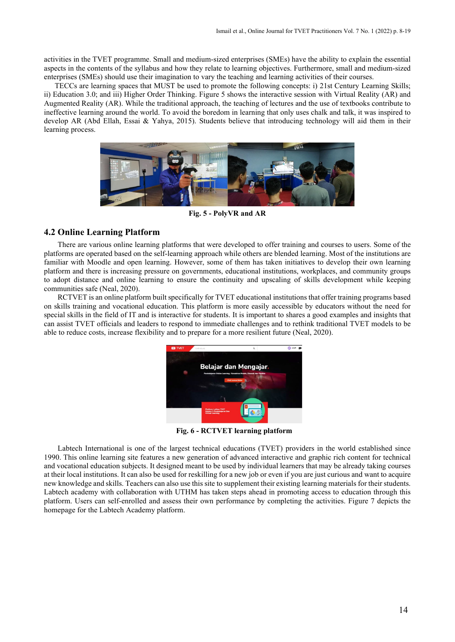activities in the TVET programme. Small and medium-sized enterprises (SMEs) have the ability to explain the essential aspects in the contents of the syllabus and how they relate to learning objectives. Furthermore, small and medium-sized enterprises (SMEs) should use their imagination to vary the teaching and learning activities of their courses.

TECCs are learning spaces that MUST be used to promote the following concepts: i) 21st Century Learning Skills; ii) Education 3.0; and iii) Higher Order Thinking. Figure 5 shows the interactive session with Virtual Reality (AR) and Augmented Reality (AR). While the traditional approach, the teaching of lectures and the use of textbooks contribute to ineffective learning around the world. To avoid the boredom in learning that only uses chalk and talk, it was inspired to develop AR (Abd Ellah, Essai & Yahya, 2015). Students believe that introducing technology will aid them in their learning process.



**Fig. 5 - PolyVR and AR**

# **4.2 Online Learning Platform**

There are various online learning platforms that were developed to offer training and courses to users. Some of the platforms are operated based on the self-learning approach while others are blended learning. Most of the institutions are familiar with Moodle and open learning. However, some of them has taken initiatives to develop their own learning platform and there is increasing pressure on governments, educational institutions, workplaces, and community groups to adopt distance and online learning to ensure the continuity and upscaling of skills development while keeping communities safe (Neal, 2020).

RCTVET is an online platform built specifically for TVET educational institutions that offer training programs based on skills training and vocational education. This platform is more easily accessible by educators without the need for special skills in the field of IT and is interactive for students. It is important to shares a good examples and insights that can assist TVET officials and leaders to respond to immediate challenges and to rethink traditional TVET models to be able to reduce costs, increase flexibility and to prepare for a more resilient future (Neal, 2020).



**Fig. 6 - RCTVET learning platform**

Labtech International is one of the largest technical educations (TVET) providers in the world established since 1990. This online learning site features a new generation of advanced interactive and graphic rich content for technical and vocational education subjects. It designed meant to be used by individual learners that may be already taking courses at their local institutions. It can also be used for reskilling for a new job or even if you are just curious and want to acquire new knowledge and skills. Teachers can also use this site to supplement their existing learning materials for their students. Labtech academy with collaboration with UTHM has taken steps ahead in promoting access to education through this platform. Users can self-enrolled and assess their own performance by completing the activities. Figure 7 depicts the homepage for the Labtech Academy platform.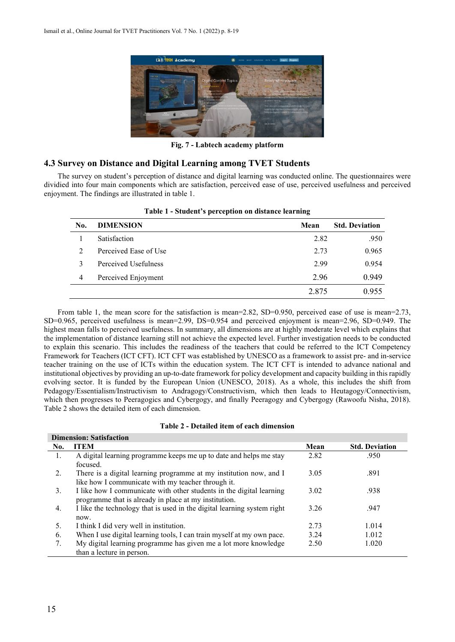

**Fig. 7 - Labtech academy platform**

# **4.3 Survey on Distance and Digital Learning among TVET Students**

The survey on student's perception of distance and digital learning was conducted online. The questionnaires were dividied into four main components which are satisfaction, perceived ease of use, perceived usefulness and perceived enjoyment. The findings are illustrated in table 1.

| No.            | <b>DIMENSION</b>      | Mean  | <b>Std. Deviation</b> |
|----------------|-----------------------|-------|-----------------------|
|                | Satisfaction          | 2.82  | .950                  |
| $\mathfrak{D}$ | Perceived Ease of Use | 2.73  | 0.965                 |
| 3              | Perceived Usefulness  | 2.99  | 0.954                 |
| 4              | Perceived Enjoyment   | 2.96  | 0.949                 |
|                |                       | 2.875 | 0.955                 |

**Table 1 - Student's perception on distance learning**

From table 1, the mean score for the satisfaction is mean=2.82, SD=0.950, perceived ease of use is mean=2.73, SD=0.965, perceived usefulness is mean=2.99, DS=0.954 and perceived enjoyment is mean=2.96, SD=0.949. The highest mean falls to perceived usefulness. In summary, all dimensions are at highly moderate level which explains that the implementation of distance learning still not achieve the expected level. Further investigation needs to be conducted to explain this scenario. This includes the readiness of the teachers that could be referred to the ICT Competency Framework for Teachers (ICT CFT). ICT CFT was established by UNESCO as a framework to assist pre- and in-service teacher training on the use of ICTs within the education system. The ICT CFT is intended to advance national and institutional objectives by providing an up-to-date framework for policy development and capacity building in this rapidly evolving sector. It is funded by the European Union (UNESCO, 2018). As a whole, this includes the shift from Pedagogy/Essentialism/Instructivism to Andragogy/Constructivism, which then leads to Heutagogy/Connectivism, which then progresses to Peeragogics and Cybergogy, and finally Peeragogy and Cybergogy (Rawoofu Nisha, 2018). Table 2 shows the detailed item of each dimension.

| Table 2 - Detailed item of each dimension |
|-------------------------------------------|
|-------------------------------------------|

| <b>Dimension: Satisfaction</b> |                                                                         |      |                       |  |  |
|--------------------------------|-------------------------------------------------------------------------|------|-----------------------|--|--|
| No.                            | <b>ITEM</b>                                                             | Mean | <b>Std. Deviation</b> |  |  |
| 1.                             | A digital learning programme keeps me up to date and helps me stay      | 2.82 | .950                  |  |  |
|                                | focused.                                                                |      |                       |  |  |
| 2.                             | There is a digital learning programme at my institution now, and I      | 3.05 | .891                  |  |  |
|                                | like how I communicate with my teacher through it.                      |      |                       |  |  |
| 3.                             | I like how I communicate with other students in the digital learning    | 3.02 | .938                  |  |  |
|                                | programme that is already in place at my institution.                   |      |                       |  |  |
| 4.                             | I like the technology that is used in the digital learning system right | 3.26 | .947                  |  |  |
|                                | now.                                                                    |      |                       |  |  |
| .5.                            | I think I did very well in institution.                                 | 2.73 | 1.014                 |  |  |
| 6.                             | When I use digital learning tools, I can train myself at my own pace.   | 3.24 | 1.012                 |  |  |
|                                | My digital learning programme has given me a lot more knowledge         | 2.50 | 1.020                 |  |  |
|                                | than a lecture in person.                                               |      |                       |  |  |
|                                |                                                                         |      |                       |  |  |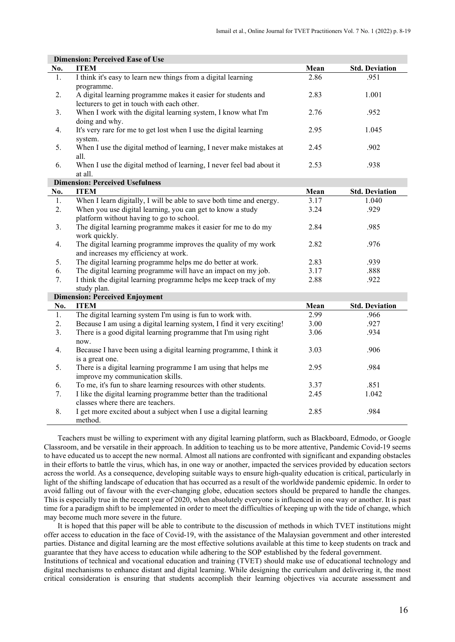| <b>Dimension: Perceived Ease of Use</b> |                                                                        |      |                       |  |  |  |
|-----------------------------------------|------------------------------------------------------------------------|------|-----------------------|--|--|--|
| No.                                     | <b>ITEM</b>                                                            | Mean | <b>Std. Deviation</b> |  |  |  |
| 1.                                      | I think it's easy to learn new things from a digital learning          | 2.86 | .951                  |  |  |  |
|                                         | programme.                                                             |      |                       |  |  |  |
| 2.                                      | A digital learning programme makes it easier for students and          | 2.83 | 1.001                 |  |  |  |
|                                         | lecturers to get in touch with each other.                             |      |                       |  |  |  |
| 3.                                      | When I work with the digital learning system, I know what I'm          | 2.76 | .952                  |  |  |  |
|                                         | doing and why.                                                         |      |                       |  |  |  |
| 4.                                      | It's very rare for me to get lost when I use the digital learning      | 2.95 | 1.045                 |  |  |  |
|                                         | system.                                                                |      |                       |  |  |  |
| 5.                                      | When I use the digital method of learning, I never make mistakes at    | 2.45 | .902                  |  |  |  |
|                                         | all.                                                                   |      |                       |  |  |  |
| 6.                                      | When I use the digital method of learning, I never feel bad about it   | 2.53 | .938                  |  |  |  |
|                                         | at all.                                                                |      |                       |  |  |  |
|                                         | <b>Dimension: Perceived Usefulness</b>                                 |      |                       |  |  |  |
| No.                                     | <b>ITEM</b>                                                            | Mean | <b>Std. Deviation</b> |  |  |  |
| 1.                                      | When I learn digitally, I will be able to save both time and energy.   | 3.17 | 1.040                 |  |  |  |
| 2.                                      | When you use digital learning, you can get to know a study             | 3.24 | .929                  |  |  |  |
|                                         | platform without having to go to school.                               |      |                       |  |  |  |
| 3.                                      | The digital learning programme makes it easier for me to do my         | 2.84 | .985                  |  |  |  |
|                                         | work quickly.                                                          |      |                       |  |  |  |
| 4.                                      | The digital learning programme improves the quality of my work         | 2.82 | .976                  |  |  |  |
|                                         | and increases my efficiency at work.                                   |      |                       |  |  |  |
| 5.                                      | The digital learning programme helps me do better at work.             | 2.83 | .939                  |  |  |  |
| 6.                                      | The digital learning programme will have an impact on my job.          | 3.17 | .888                  |  |  |  |
| 7.                                      | I think the digital learning programme helps me keep track of my       | 2.88 | .922                  |  |  |  |
|                                         | study plan.                                                            |      |                       |  |  |  |
|                                         | <b>Dimension: Perceived Enjoyment</b>                                  |      |                       |  |  |  |
| No.                                     | <b>ITEM</b>                                                            | Mean | <b>Std. Deviation</b> |  |  |  |
| 1.                                      | The digital learning system I'm using is fun to work with.             | 2.99 | .966                  |  |  |  |
| 2.                                      | Because I am using a digital learning system, I find it very exciting! | 3.00 | .927                  |  |  |  |
| 3.                                      | There is a good digital learning programme that I'm using right        | 3.06 | .934                  |  |  |  |
|                                         | now.                                                                   |      |                       |  |  |  |
| 4.                                      | Because I have been using a digital learning programme, I think it     | 3.03 | .906                  |  |  |  |
|                                         | is a great one.                                                        |      |                       |  |  |  |
| 5.                                      | There is a digital learning programme I am using that helps me         | 2.95 | .984                  |  |  |  |
|                                         | improve my communication skills.                                       |      |                       |  |  |  |
| 6.                                      | To me, it's fun to share learning resources with other students.       | 3.37 | .851                  |  |  |  |
| 7.                                      | I like the digital learning programme better than the traditional      | 2.45 | 1.042                 |  |  |  |
|                                         | classes where there are teachers.                                      |      |                       |  |  |  |
| 8.                                      | I get more excited about a subject when I use a digital learning       | 2.85 | .984                  |  |  |  |
|                                         | method.                                                                |      |                       |  |  |  |

Teachers must be willing to experiment with any digital learning platform, such as Blackboard, Edmodo, or Google Classroom, and be versatile in their approach. In addition to teaching us to be more attentive, Pandemic Covid-19 seems to have educated us to accept the new normal. Almost all nations are confronted with significant and expanding obstacles in their efforts to battle the virus, which has, in one way or another, impacted the services provided by education sectors across the world. As a consequence, developing suitable ways to ensure high-quality education is critical, particularly in light of the shifting landscape of education that has occurred as a result of the worldwide pandemic epidemic. In order to avoid falling out of favour with the ever-changing globe, education sectors should be prepared to handle the changes. This is especially true in the recent year of 2020, when absolutely everyone is influenced in one way or another. It is past time for a paradigm shift to be implemented in order to meet the difficulties of keeping up with the tide of change, which may become much more severe in the future.

It is hoped that this paper will be able to contribute to the discussion of methods in which TVET institutions might offer access to education in the face of Covid-19, with the assistance of the Malaysian government and other interested parties. Distance and digital learning are the most effective solutions available at this time to keep students on track and guarantee that they have access to education while adhering to the SOP established by the federal government.

Institutions of technical and vocational education and training (TVET) should make use of educational technology and digital mechanisms to enhance distant and digital learning. While designing the curriculum and delivering it, the most critical consideration is ensuring that students accomplish their learning objectives via accurate assessment and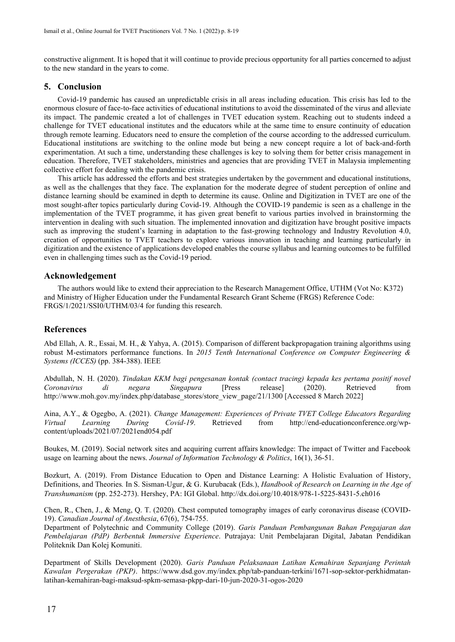constructive alignment. It is hoped that it will continue to provide precious opportunity for all parties concerned to adjust to the new standard in the years to come.

#### **5. Conclusion**

Covid-19 pandemic has caused an unpredictable crisis in all areas including education. This crisis has led to the enormous closure of face-to-face activities of educational institutions to avoid the disseminated of the virus and alleviate its impact. The pandemic created a lot of challenges in TVET education system. Reaching out to students indeed a challenge for TVET educational institutes and the educators while at the same time to ensure continuity of education through remote learning. Educators need to ensure the completion of the course according to the addressed curriculum. Educational institutions are switching to the online mode but being a new concept require a lot of back-and-forth experimentation. At such a time, understanding these challenges is key to solving them for better crisis management in education. Therefore, TVET stakeholders, ministries and agencies that are providing TVET in Malaysia implementing collective effort for dealing with the pandemic crisis.

This article has addressed the efforts and best strategies undertaken by the government and educational institutions, as well as the challenges that they face. The explanation for the moderate degree of student perception of online and distance learning should be examined in depth to determine its cause. Online and Digitization in TVET are one of the most sought-after topics particularly during Covid-19. Although the COVID-19 pandemic is seen as a challenge in the implementation of the TVET programme, it has given great benefit to various parties involved in brainstorming the intervention in dealing with such situation. The implemented innovation and digitization have brought positive impacts such as improving the student's learning in adaptation to the fast-growing technology and Industry Revolution 4.0, creation of opportunities to TVET teachers to explore various innovation in teaching and learning particularly in digitization and the existence of applications developed enables the course syllabus and learning outcomes to be fulfilled even in challenging times such as the Covid-19 period.

# **Acknowledgement**

The authors would like to extend their appreciation to the Research Management Office, UTHM (Vot No: K372) and Ministry of Higher Education under the Fundamental Research Grant Scheme (FRGS) Reference Code: FRGS/1/2021/SSI0/UTHM/03/4 for funding this research.

#### **References**

Abd Ellah, A. R., Essai, M. H., & Yahya, A. (2015). Comparison of different backpropagation training algorithms using robust M-estimators performance functions. In *2015 Tenth International Conference on Computer Engineering & Systems (ICCES)* (pp. 384-388). IEEE

Abdullah, N. H. (2020). *Tindakan KKM bagi pengesanan kontak (contact tracing) kepada kes pertama positif novel Coronavirus di negara Singapura* [Press release] (2020). Retrieved from http://www.moh.gov.my/index.php/database\_stores/store\_view\_page/21/1300 [Accessed 8 March 2022]

Aina, A.Y., & Ogegbo, A. (2021). *Change Management: Experiences of Private TVET College Educators Regarding Virtual Learning During Covid-19*. Retrieved from http://end-educationconference.org/wpcontent/uploads/2021/07/2021end054.pdf

Boukes, M. (2019). Social network sites and acquiring current affairs knowledge: The impact of Twitter and Facebook usage on learning about the news. *Journal of Information Technology & Politics*, 16(1), 36-51.

Bozkurt, A. (2019). From Distance Education to Open and Distance Learning: A Holistic Evaluation of History, Definitions, and Theories*.* In S. Sisman-Ugur, & G. Kurubacak (Eds.), *Handbook of Research on Learning in the Age of Transhumanism* (pp. 252-273). Hershey, PA: IGI Global. <http://dx.doi.org/10.4018/978-1-5225-8431-5.ch016>

Chen, R., Chen, J., & Meng, Q. T. (2020). Chest computed tomography images of early coronavirus disease (COVID-19). *Canadian Journal of Anesthesia*, 67(6), 754-755.

Department of Polytechnic and Community College (2019). *Garis Panduan Pembangunan Bahan Pengajaran dan Pembelajaran (PdP) Berbentuk Immersive Experience*. Putrajaya: Unit Pembelajaran Digital, Jabatan Pendidikan Politeknik Dan Kolej Komuniti.

Department of Skills Development (2020). *Garis Panduan Pelaksanaan Latihan Kemahiran Sepanjang Perintah Kawalan Pergerakan (PKP)*. https://www.dsd.gov.my/index.php/tab-panduan-terkini/1671-sop-sektor-perkhidmatanlatihan-kemahiran-bagi-maksud-spkm-semasa-pkpp-dari-10-jun-2020-31-ogos-2020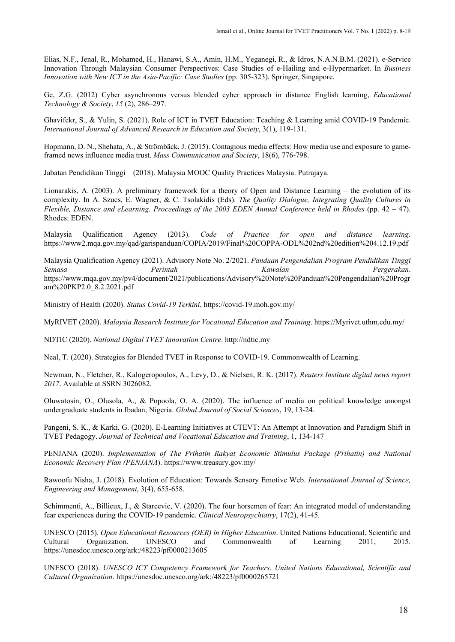Elias, N.F., Jenal, R., Mohamed, H., Hanawi, S.A., Amin, H.M., Yeganegi, R., & Idros, N.A.N.B.M. (2021). e-Service Innovation Through Malaysian Consumer Perspectives: Case Studies of e-Hailing and e-Hypermarket. In *Business Innovation with New ICT in the Asia-Pacific: Case Studies* (pp. 305-323). Springer, Singapore.

Ge, Z.G. (2012) Cyber asynchronous versus blended cyber approach in distance English learning, *Educational Technology & Society*, *15* (2), 286–297.

Ghavifekr, S., & Yulin, S. (2021). Role of ICT in TVET Education: Teaching & Learning amid COVID-19 Pandemic. *International Journal of Advanced Research in Education and Society*, 3(1), 119-131.

Hopmann, D. N., Shehata, A., & Strömbäck, J. (2015). Contagious media effects: How media use and exposure to gameframed news influence media trust. *Mass Communication and Society*, 18(6), 776-798.

Jabatan Pendidikan Tinggi (2018). Malaysia MOOC Quality Practices Malaysia. Putrajaya.

Lionarakis, A. (2003). A preliminary framework for a theory of Open and Distance Learning – the evolution of its complexity. In A. Szucs, E. Wagner, & C. Tsolakidis (Eds). *The Quality Dialogue, Integrating Quality Cultures in Flexible, Distance and eLearning. Proceedings of the 2003 EDEN Annual Conference held in Rhodes* (pp. 42 – 47). Rhodes: EDEN.

Malaysia Qualification Agency (2013). *Code of Practice for open and distance learning*. https://www2.mqa.gov.my/qad/garispanduan/COPIA/2019/Final%20COPPA-ODL%202nd%20edition%204.12.19.pdf

Malaysia Qualification Agency (2021). Advisory Note No. 2/2021. *Panduan Pengendalian Program Pendidikan Tinggi Semasa Perintah Kawalan Pergerakan*. https://www.mqa.gov.my/pv4/document/2021/publications/Advisory%20Note%20Panduan%20Pengendalian%20Progr am%20PKP2.0\_8.2.2021.pdf

Ministry of Health (2020). *Status Covid-19 Terkini*, https://covid-19.moh.gov.my/

MyRIVET (2020). *Malaysia Research Institute for Vocational Education and Training*[. https://Myrivet.uthm.edu.my/](https://myrivet.uthm.edu.my/)

NDTIC (2020). *National Digital TVET Innovation Centre*. http://ndtic.my

Neal, T. (2020). Strategies for Blended TVET in Response to COVID-19. Commonwealth of Learning.

Newman, N., Fletcher, R., Kalogeropoulos, A., Levy, D., & Nielsen, R. K. (2017). *Reuters Institute digital news report 2017*. Available at SSRN 3026082.

Oluwatosin, O., Olusola, A., & Popoola, O. A. (2020). The influence of media on political knowledge amongst undergraduate students in Ibadan, Nigeria. *Global Journal of Social Sciences*, 19, 13-24.

Pangeni, S. K., & Karki, G. (2020). E-Learning Initiatives at CTEVT: An Attempt at Innovation and Paradigm Shift in TVET Pedagogy. *Journal of Technical and Vocational Education and Training*, 1, 134-147

PENJANA (2020). *Implementation of The Prihatin Rakyat Economic Stimulus Package (Prihatin) and National Economic Recovery Plan (PENJANA*). https://www.treasury.gov.my/

Rawoofu Nisha, J. (2018). Evolution of Education: Towards Sensory Emotive Web. *International Journal of Science, Engineering and Management*, 3(4), 655-658.

Schimmenti, A., Billieux, J., & Starcevic, V. (2020). The four horsemen of fear: An integrated model of understanding fear experiences during the COVID-19 pandemic. *Clinical Neuropsychiatry*, 17(2), 41-45.

UNESCO (2015). *Open Educational Resources (OER) in Higher Education*. United Nations Educational, Scientific and Cultural Organization. UNESCO and Commonwealth of Learning 2011, 2015. https://unesdoc.unesco.org/ark:/48223/pf0000213605

UNESCO (2018). *UNESCO ICT Competency Framework for Teachers. United Nations Educational, Scientific and Cultural Organization*. https://unesdoc.unesco.org/ark:/48223/pf0000265721